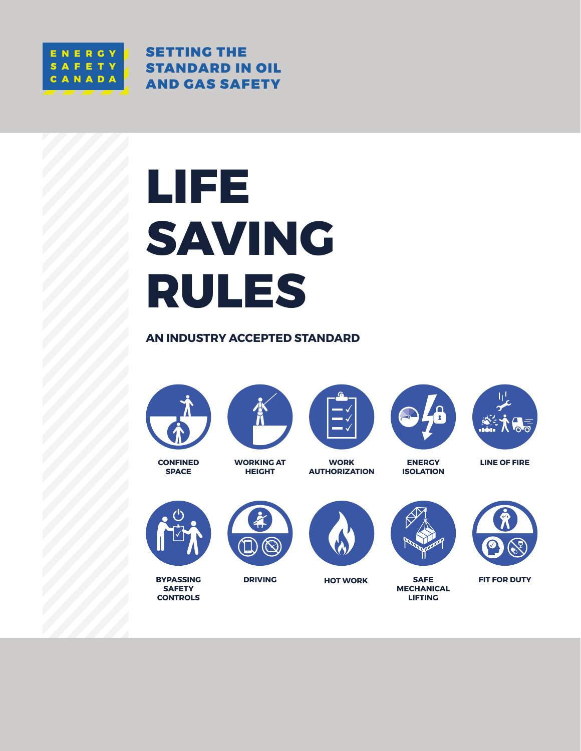

SETTING THE STANDARD IN OIL AND GAS SAFETY

# **LIFE SAVING RULES**

**AN INDUSTRY ACCEPTED STANDARD**



**CONFINED SPACE**









**LINE OF FIRE**



**BYPASSING SAFETY CONTROLS**

**WORKING AT HEIGHT**

**DRIVING**

**WORK AUTHORIZATION**





**ENERGY ISOLATION**

**SAFE MECHANICAL LIFTING**



**HOT WORK FIT FOR DUTY**